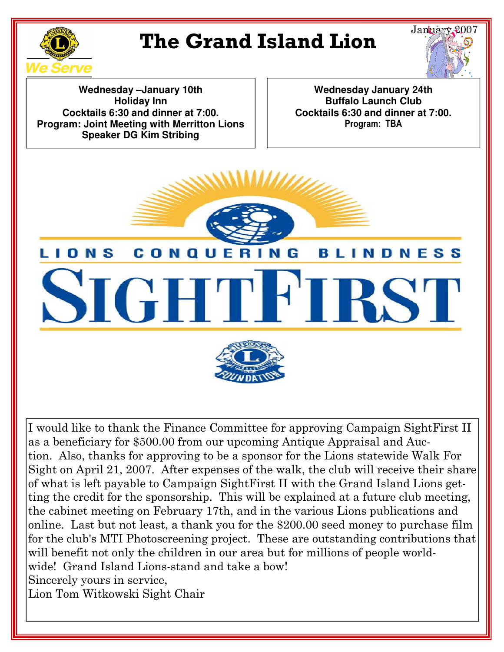

## **The Grand Island Lion**



**Wednesday –January 10th Holiday Inn Cocktails 6:30 and dinner at 7:00. Program: Joint Meeting with Merritton Lions Speaker DG Kim Stribing**

**Wednesday January 24th Buffalo Launch Club Cocktails 6:30 and dinner at 7:00.** Program: TBA



I would like to thank the Finance Committee for approving Campaign SightFirst II as a beneficiary for \$500.00 from our upcoming Antique Appraisal and Auction. Also, thanks for approving to be a sponsor for the Lions statewide Walk For Sight on April 21, 2007. After expenses of the walk, the club will receive their share of what is left payable to Campaign SightFirst II with the Grand Island Lions getting the credit for the sponsorship. This will be explained at a future club meeting, the cabinet meeting on February 17th, and in the various Lions publications and online. Last but not least, a thank you for the \$200.00 seed money to purchase film for the club's MTI Photoscreening project. These are outstanding contributions that will benefit not only the children in our area but for millions of people worldwide! Grand Island Lions-stand and take a bow! Sincerely yours in service, Lion Tom Witkowski Sight Chair